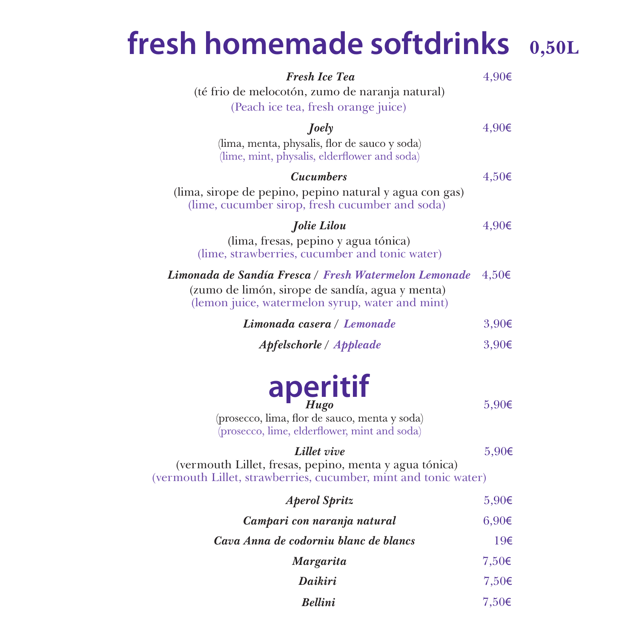### **fresh homemade softdrinks 0,50L**

| <b>Fresh Ice Tea</b><br>(té frio de melocotón, zumo de naranja natural)<br>(Peach ice tea, fresh orange juice)                                              | 4,90€              |
|-------------------------------------------------------------------------------------------------------------------------------------------------------------|--------------------|
| Joely<br>(lima, menta, physalis, flor de sauco y soda)<br>(lime, mint, physalis, elderflower and soda)                                                      | 4,90€              |
| <b>Cucumbers</b><br>(lima, sirope de pepino, pepino natural y agua con gas)<br>(lime, cucumber sirop, fresh cucumber and soda)                              | $4,50 \in$         |
| Jolie Lilou<br>(lima, fresas, pepino y agua tónica)<br>(lime, strawberries, cucumber and tonic water)                                                       | 4,90€              |
| Limonada de Sandía Fresca / Fresh Watermelon Lemonade<br>(zumo de limón, sirope de sandía, agua y menta)<br>(lemon juice, watermelon syrup, water and mint) | $4,50 \in$         |
| Limonada casera / Lemonade                                                                                                                                  | 3,90€              |
| Apfelschorle / Appleade                                                                                                                                     | 3,90€              |
| aperitif<br>(prosecco, lima, flor de sauco, menta y soda)<br>(prosecco, lime, elderflower, mint and soda)                                                   | 5,90€              |
| Lillet vive<br>(vermouth Lillet, fresas, pepino, menta y agua tónica)<br>(vermouth Lillet, strawberries, cucumber, mint and tonic water)                    | $5,90 \in$         |
| <b>Aperol Spritz</b>                                                                                                                                        | 5,90€              |
| Campari con naranja natural                                                                                                                                 | $6,90 \in$         |
| Cava Anna de codorniu blanc de blancs                                                                                                                       | 19€                |
| <b>Margarita</b>                                                                                                                                            | 7,50 $\varepsilon$ |
| Daikiri                                                                                                                                                     | 7,50€              |
| <b>Bellini</b>                                                                                                                                              | 7,50€              |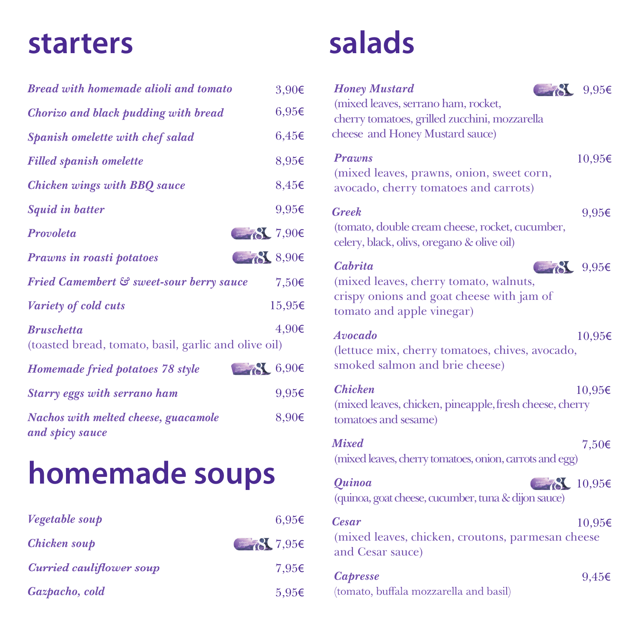#### **starters**

| <b>Bread with homemade alioli and tomato</b>                              | 3,90€                 |
|---------------------------------------------------------------------------|-----------------------|
| <b>Chorizo and black pudding with bread</b>                               | $6,95 \in$            |
| Spanish omelette with chef salad                                          | $6,45 \in$            |
| <b>Filled spanish omelette</b>                                            | 8,95€                 |
| <b>Chicken wings with BBQ sauce</b>                                       | 8,45€                 |
| <b>Squid in batter</b>                                                    | 9,95€                 |
| Provoleta                                                                 | $\frac{3}{600}$ 7,90€ |
| <b>Prawns in roasti potatoes</b>                                          | 8,906                 |
| Fried Camembert & sweet-sour berry sauce                                  | 7,50€                 |
| Variety of cold cuts                                                      | 15,95€                |
| <b>Bruschetta</b><br>(toasted bread, tomato, basil, garlic and olive oil) | 4,90€                 |
| Homemade fried potatoes 78 style                                          | 86,906                |
| <b>Starry eggs with serrano ham</b>                                       | 9,95€                 |
| Nachos with melted cheese, guacamole<br>and spicy sauce                   | 8,90€                 |

## **homemade soups**

| Vegetable soup                  | $6.95\epsilon$                                                                                                                                                                                                                                                                                                      |
|---------------------------------|---------------------------------------------------------------------------------------------------------------------------------------------------------------------------------------------------------------------------------------------------------------------------------------------------------------------|
| Chicken soup                    | $\frac{1}{2}$ $\frac{1}{2}$ $\frac{1}{2}$ $\frac{1}{2}$ $\frac{1}{2}$ $\frac{1}{2}$ $\frac{1}{2}$ $\frac{1}{2}$ $\frac{1}{2}$ $\frac{1}{2}$ $\frac{1}{2}$ $\frac{1}{2}$ $\frac{1}{2}$ $\frac{1}{2}$ $\frac{1}{2}$ $\frac{1}{2}$ $\frac{1}{2}$ $\frac{1}{2}$ $\frac{1}{2}$ $\frac{1}{2}$ $\frac{1}{2}$ $\frac{1}{2}$ |
| <b>Curried cauliflower soup</b> | 7.95€                                                                                                                                                                                                                                                                                                               |
| Gazpacho, cold                  | $5.95\epsilon$                                                                                                                                                                                                                                                                                                      |

## **salads**

| <b>Honey Mustard</b><br>$\frac{1}{2}$ $\frac{1}{2}$ $\frac{1}{2}$ $\frac{1}{2}$ $\frac{1}{2}$ $\frac{1}{2}$ $\frac{1}{2}$ $\frac{1}{2}$ $\frac{1}{2}$ $\frac{1}{2}$ $\frac{1}{2}$ $\frac{1}{2}$ $\frac{1}{2}$ $\frac{1}{2}$ $\frac{1}{2}$ $\frac{1}{2}$ $\frac{1}{2}$ $\frac{1}{2}$ $\frac{1}{2}$ $\frac{1}{2}$ $\frac{1}{2}$ $\frac{1}{2}$<br>(mixed leaves, serrano ham, rocket,<br>cherry tomatoes, grilled zucchini, mozzarella<br>cheese and Honey Mustard sauce) |
|------------------------------------------------------------------------------------------------------------------------------------------------------------------------------------------------------------------------------------------------------------------------------------------------------------------------------------------------------------------------------------------------------------------------------------------------------------------------|
| <b>Prawns</b><br>10,95€<br>(mixed leaves, prawns, onion, sweet corn,<br>avocado, cherry tomatoes and carrots)                                                                                                                                                                                                                                                                                                                                                          |
| Greek<br>9,95€<br>(tomato, double cream cheese, rocket, cucumber,<br>celery, black, olivs, oregano & olive oil)                                                                                                                                                                                                                                                                                                                                                        |
| Cabrita<br>$\frac{1}{2}$ 8 9,95€<br>(mixed leaves, cherry tomato, walnuts,<br>crispy onions and goat cheese with jam of<br>tomato and apple vinegar)                                                                                                                                                                                                                                                                                                                   |
| Avocado<br>10,95€<br>(lettuce mix, cherry tomatoes, chives, avocado,<br>smoked salmon and brie cheese)                                                                                                                                                                                                                                                                                                                                                                 |
| <b>Chicken</b><br>10,95€<br>(mixed leaves, chicken, pineapple, fresh cheese, cherry<br>tomatoes and sesame)                                                                                                                                                                                                                                                                                                                                                            |
| <b>Mixed</b><br>7,50€<br>(mixed leaves, cherry tomatoes, onion, carrots and egg)                                                                                                                                                                                                                                                                                                                                                                                       |
| $\frac{10,95}{5}$ $\frac{10,95}{5}$<br>Quinoa<br>(quinoa, goat cheese, cucumber, tuna & dijon sauce)                                                                                                                                                                                                                                                                                                                                                                   |
| <b>Cesar</b><br>10,95€<br>(mixed leaves, chicken, croutons, parmesan cheese<br>and Cesar sauce)                                                                                                                                                                                                                                                                                                                                                                        |
| <b>Capresse</b><br>$9,45 \in$<br>(tomato, buffala mozzarella and basil)                                                                                                                                                                                                                                                                                                                                                                                                |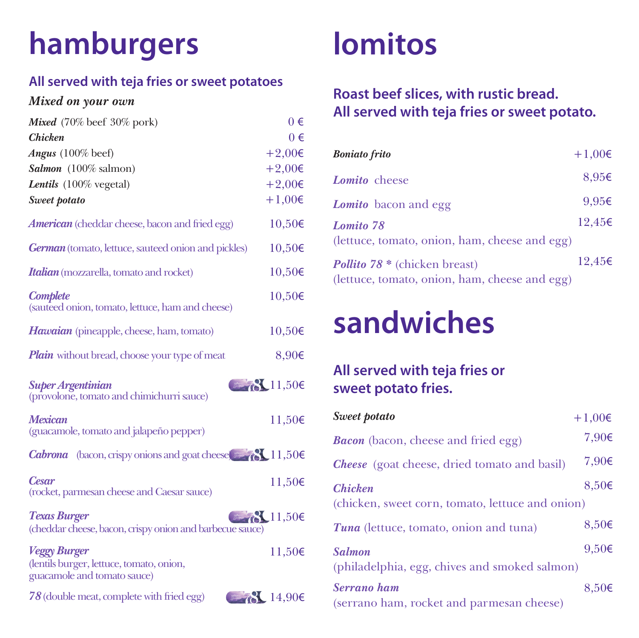# **hamburgers**

#### **All served with teja fries or sweet potatoes**

#### *Mixed on your own*

| Mixed (70% beef 30% pork)                                                                      | $0 \in$      |
|------------------------------------------------------------------------------------------------|--------------|
| <b>Chicken</b>                                                                                 | $0 \in$      |
| Angus (100% beef)                                                                              | $+2,00 \in$  |
| Salmon (100% salmon)                                                                           | $+2,00 \in$  |
| <b>Lentils</b> (100% vegetal)                                                                  | $+2,00€$     |
| Sweet potato                                                                                   | $+1,00 \in$  |
| <b>American</b> (cheddar cheese, bacon and fried egg)                                          | 10,50€       |
| <b>German</b> (tomato, lettuce, sauteed onion and pickles)                                     | 10,50€       |
| <b>Italian</b> (mozzarella, tomato and rocket)                                                 | 10,50€       |
| <b>Complete</b><br>(sauteed onion, tomato, lettuce, ham and cheese)                            | 10,50€       |
| Hawaian (pineapple, cheese, ham, tomato)                                                       | 10,50€       |
| <b>Plain</b> without bread, choose your type of meat                                           | 8,90€        |
| <b>Super Argentinian</b><br>(provolone, tomato and chimichurri sauce)                          | 811,506      |
| <b>Mexican</b><br>(guacamole, tomato and jalapeño pepper)                                      | 11,50€       |
| <b>Cabrona</b> (bacon, crispy onions and goat cheese $\sim$ $\sqrt{8}$ , 11,50€                |              |
| <b>Cesar</b><br>(rocket, parmesan cheese and Caesar sauce)                                     | 11,50€       |
| <b>Texas Burger</b><br>(cheddar cheese, bacon, crispy onion and barbecue sauce)                | 78.11,506    |
| <b>Veggy Burger</b><br>(lentils burger, lettuce, tomato, onion,<br>guacamole and tomato sauce) | 11,50€       |
| 78 (double meat, complete with fried egg)                                                      | $8 - 14,906$ |

### **lomitos**

#### **Roast beef slices, with rustic bread. All served with teja fries or sweet potato.**

| <b>Boniato</b> frito                          | $+1,00 \in$    |
|-----------------------------------------------|----------------|
| Lomito cheese                                 | $8.95\epsilon$ |
| <b>Lomito</b> bacon and egg                   | $9.95\epsilon$ |
| Lomito 78                                     | 12.45€         |
| (lettuce, tomato, onion, ham, cheese and egg) |                |
| <b>Pollito 78</b> * (chicken breast)          | 12.45€         |
| (lettuce, tomato, onion, ham, cheese and egg) |                |

## **sandwiches**

#### **All served with teja fries or sweet potato fries.**

| Sweet potato                                                       | $+1,00 \in$ |
|--------------------------------------------------------------------|-------------|
| <b>Bacon</b> (bacon, cheese and fried egg)                         | 7,90€       |
| <b>Cheese</b> (goat cheese, dried tomato and basil)                | 7,90€       |
| <b>Chicken</b><br>(chicken, sweet corn, tomato, lettuce and onion) | $8,50 \in$  |
| Tuna (lettuce, tomato, onion and tuna)                             | 8,50€       |
| <b>Salmon</b><br>(philadelphia, egg, chives and smoked salmon)     | $9,50 \in$  |
| Serrano ham<br>(serrano ham, rocket and parmesan cheese)           | $8,50 \in$  |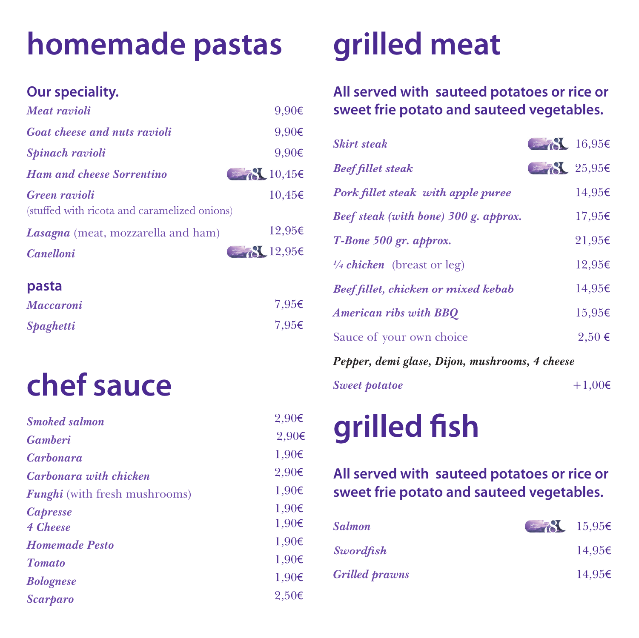## **homemade pastas**

#### **Our speciality.**

| Meat ravioli                                                         | $9,90 \in$               |
|----------------------------------------------------------------------|--------------------------|
| <b>Goat cheese and nuts ravioli</b>                                  | $9,90 \in$               |
| Spinach ravioli                                                      | 9,90€                    |
| <b>Ham and cheese Sorrentino</b>                                     | 8.10,456                 |
| <b>Green</b> ravioli<br>(stuffed with ricota and caramelized onions) | 10,45€                   |
| <b>Lasagna</b> (meat, mozzarella and ham)                            | 12,95€                   |
| <b>Canelloni</b>                                                     | $\bigotimes$ 12,95 $\in$ |

#### **pasta**

| <b>Maccaroni</b> | 7,95 $\epsilon$ |
|------------------|-----------------|
| <b>Spaghetti</b> | 7,95 $\epsilon$ |

# **chef sauce**

| <b>Smoked salmon</b>                 | $2,90 \in$ |
|--------------------------------------|------------|
| <b>Gamberi</b>                       | 2,90€      |
| <i>Carbonara</i>                     | 1,90€      |
| <b>Carbonara with chicken</b>        | $2,90 \in$ |
| <b>Funghi</b> (with fresh mushrooms) | 1,90€      |
| <b>Capresse</b>                      | 1,90€      |
| 4 Cheese                             | 1,90€      |
| <b>Homemade Pesto</b>                | 1,90€      |
| <b>Tomato</b>                        | 1,90€      |
| <b>Bolognese</b>                     | 1,90€      |
| <b>Scarparo</b>                      | 2,50€      |

# **grilled meat**

#### **All served with sauteed potatoes or rice or sweet frie potato and sauteed vegetables.**

| <b>Skirt steak</b>                             | $8 - 16,956$ |          |
|------------------------------------------------|--------------|----------|
| <b>Beef fillet steak</b>                       | 825,956      |          |
| Pork fillet steak with apple puree             |              | 14,95€   |
| Beef steak (with bone) 300 g. approx.          |              | 17,95€   |
| T-Bone 500 gr. approx.                         |              | 21,95€   |
| $\frac{1}{4}$ chicken (breast or leg)          |              | 12,95€   |
| <b>Beef fillet, chicken or mixed kebab</b>     |              | 14,95€   |
| <b>American ribs with BBQ</b>                  |              | 15,95€   |
| Sauce of your own choice                       |              | $2,50$ € |
| Pepper, demi glase, Dijon, mushrooms, 4 cheese |              |          |

## grilled fish

*Sweet potatoe*

#### **All served with sauteed potatoes or rice or sweet frie potato and sauteed vegetables.**

 $+1,00€$ 

| <b>Salmon</b>         | $\frac{15,95}{5}$ |        |
|-----------------------|-------------------|--------|
| <b>Swordfish</b>      |                   | 14.95€ |
| <b>Grilled prawns</b> |                   | 14.95€ |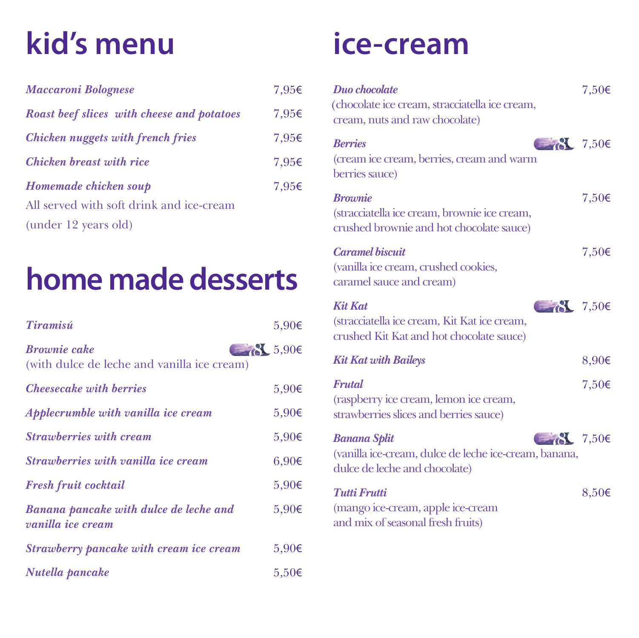## **kid's menu**

| <b>Maccaroni Bolognese</b>                        | 7,95€ |
|---------------------------------------------------|-------|
| <b>Roast beef slices with cheese and potatoes</b> | 7,95€ |
| <b>Chicken nuggets with french fries</b>          | 7,95€ |
| <b>Chicken breast with rice</b>                   | 7,95€ |
| Homemade chicken soup                             | 7,95€ |
| All served with soft drink and ice-cream          |       |
| (under 12 years old)                              |       |

## **home made desserts**

| Tiramisú                                                                        | 5,90€      |
|---------------------------------------------------------------------------------|------------|
| <b>Brownie cake</b><br>$-86.906$<br>(with dulce de leche and vanilla ice cream) |            |
| <b>Cheesecake with berries</b>                                                  | 5,90€      |
| Applecrumble with vanilla ice cream                                             | $5,90 \in$ |
| <b>Strawberries with cream</b>                                                  | $5,90 \in$ |
| <i>Strawberries with vanilla ice cream</i>                                      | 6,90€      |
| <b>Fresh fruit cocktail</b>                                                     | $5,90 \in$ |
| Banana pancake with dulce de leche and<br><i>vanilla ice cream</i>              | $5,90 \in$ |
| Strawberry pancake with cream ice cream                                         | $5,90 \in$ |
| Nutella pancake                                                                 | $5,50 \in$ |

### **ice-cream**

| Duo chocolate<br>(chocolate ice cream, stracciatella ice cream,<br>cream, nuts and raw chocolate)                                                                                                                                                                                                                                                                                                                                    | $7,50 \in$ |
|--------------------------------------------------------------------------------------------------------------------------------------------------------------------------------------------------------------------------------------------------------------------------------------------------------------------------------------------------------------------------------------------------------------------------------------|------------|
| $\left( \frac{1}{2} \right)$ $\left( \frac{1}{2} \right)$ $\left( \frac{1}{2} \right)$<br><b>Berries</b><br>(cream ice cream, berries, cream and warm<br>berries sauce)                                                                                                                                                                                                                                                              |            |
| <b><i><u>Brownie</u></i></b><br>(stracciatella ice cream, brownie ice cream,<br>crushed brownie and hot chocolate sauce)                                                                                                                                                                                                                                                                                                             | $7,50 \in$ |
| <b>Caramel biscuit</b><br>(vanilla ice cream, crushed cookies,<br>caramel sauce and cream)                                                                                                                                                                                                                                                                                                                                           | 7,50€      |
| $\left( \frac{1}{2} \right)^2$ 7,50€<br><b>Kit Kat</b><br>(stracciatella ice cream, Kit Kat ice cream,<br>crushed Kit Kat and hot chocolate sauce)                                                                                                                                                                                                                                                                                   |            |
| <b>Kit Kat with Baileys</b>                                                                                                                                                                                                                                                                                                                                                                                                          | 8,90€      |
| Frutal<br>(raspberry ice cream, lemon ice cream,<br>strawberries slices and berries sauce)                                                                                                                                                                                                                                                                                                                                           | 7,50€      |
| $\frac{1}{2}$ $\frac{1}{2}$ $\frac{1}{2}$ $\frac{1}{2}$ $\frac{1}{2}$ $\frac{1}{2}$ $\frac{1}{2}$ $\frac{1}{2}$ $\frac{1}{2}$ $\frac{1}{2}$ $\frac{1}{2}$ $\frac{1}{2}$ $\frac{1}{2}$ $\frac{1}{2}$ $\frac{1}{2}$ $\frac{1}{2}$ $\frac{1}{2}$ $\frac{1}{2}$ $\frac{1}{2}$ $\frac{1}{2}$ $\frac{1}{2}$ $\frac{1}{2}$<br><b>Banana Split</b><br>(vanilla ice-cream, dulce de leche ice-cream, banana,<br>dulce de leche and chocolate) |            |
| <b>Tutti Frutti</b><br>(mango ice-cream, apple ice-cream<br>and mix of seasonal fresh fruits)                                                                                                                                                                                                                                                                                                                                        | 8,50€      |